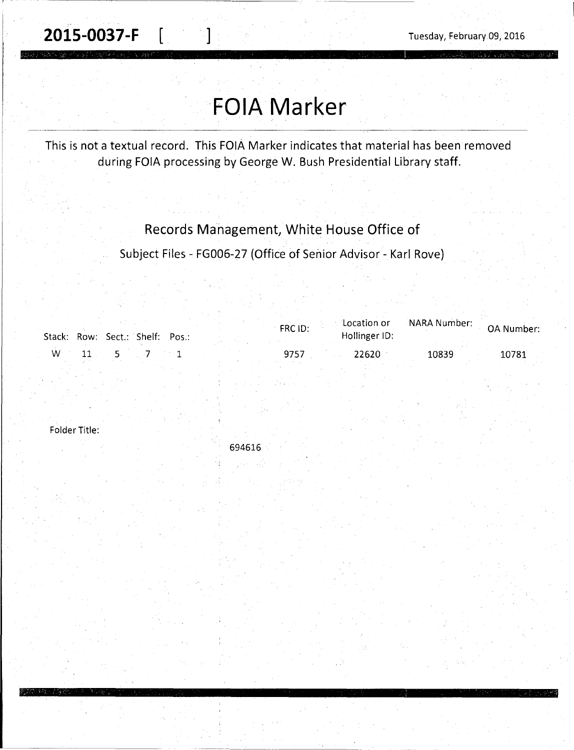**2015-0037-F** [ ] **July 2015-0037-F [** ] **Tuesday, February.09, 2016** 

## **FOIA Marker** ------------- ·---------------------~----------

This is not a textual record. This FOIA Marker indicates that material has been removed during FOIA processing by George W. Bush Presidential Library staff.

Records Management, White House Office of

Subject Files - FG006-27 (Office of Senior Advisor - Karl Rove)

|   | Stack: Row: Sect.: Shelf: Pos.: | FRC ID: | Location or<br>Hollinger ID: | on or NARA Number: OA Number |       |
|---|---------------------------------|---------|------------------------------|------------------------------|-------|
| W |                                 | 9757    | 22620                        | 10839                        | 10781 |

-------- -----

Folder Title:

694616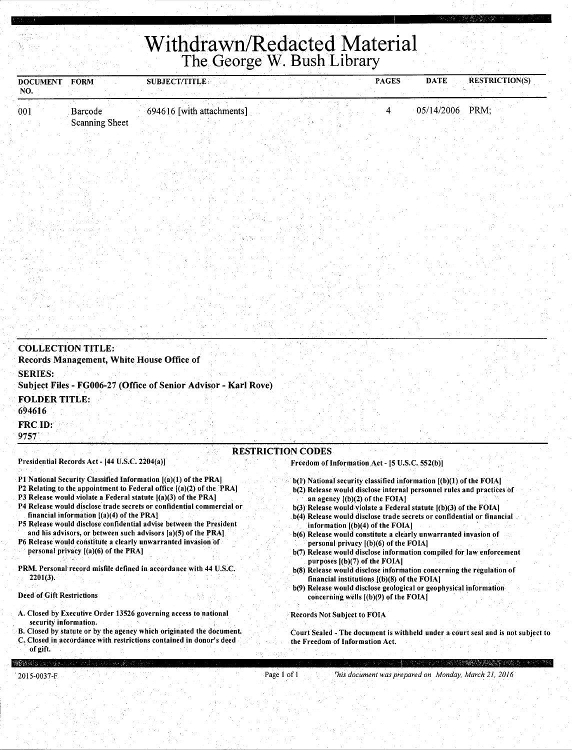## **Withdrawn/Redacted Material**  The George W. Bush Library

| <b>DOCUMENT</b><br>NO. | <b>FORM</b>                      | <b>SUBJECT/TITLE</b><br>テーキティル | <b>PAGES</b> | <b>RESTRICTION(S)</b><br><b>DATE</b> |  |
|------------------------|----------------------------------|--------------------------------|--------------|--------------------------------------|--|
| 001                    | Barcode<br><b>Scanning Sheet</b> | 694616 [with attachments]      |              | $05/14/2006$ PRM;                    |  |
|                        |                                  |                                |              |                                      |  |
|                        |                                  |                                |              |                                      |  |
|                        |                                  |                                |              |                                      |  |

| <b>COLLECTION TITLE:</b>                                                                                                                                                                                                                                                                                                                                                                                                                                                                                                                                                             |                                                                                                                                                                                                                                                                                                                                                                                                                                                                                         |
|--------------------------------------------------------------------------------------------------------------------------------------------------------------------------------------------------------------------------------------------------------------------------------------------------------------------------------------------------------------------------------------------------------------------------------------------------------------------------------------------------------------------------------------------------------------------------------------|-----------------------------------------------------------------------------------------------------------------------------------------------------------------------------------------------------------------------------------------------------------------------------------------------------------------------------------------------------------------------------------------------------------------------------------------------------------------------------------------|
| Records Management, White House Office of                                                                                                                                                                                                                                                                                                                                                                                                                                                                                                                                            |                                                                                                                                                                                                                                                                                                                                                                                                                                                                                         |
| <b>SERIES:</b>                                                                                                                                                                                                                                                                                                                                                                                                                                                                                                                                                                       |                                                                                                                                                                                                                                                                                                                                                                                                                                                                                         |
| Subject Files - FG006-27 (Office of Senior Advisor - Karl Rove)                                                                                                                                                                                                                                                                                                                                                                                                                                                                                                                      |                                                                                                                                                                                                                                                                                                                                                                                                                                                                                         |
| <b>FOLDER TITLE:</b>                                                                                                                                                                                                                                                                                                                                                                                                                                                                                                                                                                 |                                                                                                                                                                                                                                                                                                                                                                                                                                                                                         |
| 694616                                                                                                                                                                                                                                                                                                                                                                                                                                                                                                                                                                               |                                                                                                                                                                                                                                                                                                                                                                                                                                                                                         |
| <b>FRC ID:</b><br>9757                                                                                                                                                                                                                                                                                                                                                                                                                                                                                                                                                               |                                                                                                                                                                                                                                                                                                                                                                                                                                                                                         |
|                                                                                                                                                                                                                                                                                                                                                                                                                                                                                                                                                                                      | <b>RESTRICTION CODES</b>                                                                                                                                                                                                                                                                                                                                                                                                                                                                |
| Presidential Records Act - [44 U.S.C. 2204(a)]                                                                                                                                                                                                                                                                                                                                                                                                                                                                                                                                       | Freedom of Information Act - [5 U.S.C. 552(b)]                                                                                                                                                                                                                                                                                                                                                                                                                                          |
| P1 National Security Classified Information [(a)(1) of the PRA]<br>P2 Relating to the appointment to Federal office $[(a)(2)$ of the PRA<br>P3 Release would violate a Federal statute [(a)(3) of the PRA]<br>P4 Release would disclose trade secrets or confidential commercial or<br>financial information $[(a)(4)$ of the PRA<br>P5 Release would disclose confidential advise between the President<br>and his advisors, or between such advisors [a)(5) of the PRA]<br>P6 Release would constitute a clearly unwarranted invasion of<br>personal privacy $[(a)(6)$ of the PRA] | $b(1)$ National security classified information $(1b)(1)$ of the FOIA<br>b(2) Release would disclose internal personnel rules and practices of<br>an agency $[(b)(2)$ of the FOIA]<br>$b(3)$ Release would violate a Federal statute $(6)(3)$ of the FOIA]<br>b(4) Release would disclose trade secrets or confidential or financial<br>information $[(b)(4)$ of the FOIA]<br>b(6) Release would constitute a clearly unwarranted invasion of<br>personal privacy $(1)(6)$ of the FOIA. |
|                                                                                                                                                                                                                                                                                                                                                                                                                                                                                                                                                                                      | b(7) Release would disclose information compiled for law enforcement<br>purposes $[(b)(7)$ of the FOIA]                                                                                                                                                                                                                                                                                                                                                                                 |
| PRM. Personal record misfile defined in accordance with 44 U.S.C.<br>$2201(3)$ .                                                                                                                                                                                                                                                                                                                                                                                                                                                                                                     | b(8) Release would disclose information concerning the regulation of<br>financial institutions $[(b)(8)$ of the FOIA]                                                                                                                                                                                                                                                                                                                                                                   |

b(9) Release would disclose geological or geophysical information concerning wells [(b)(9) of the FOIA]

Records Not Subject to FOIA

Court Sealed - The document is withheld under a court seal and is not subject to the Freedom of Information Act.

18436

of gift.

Deed of Gift Restrictions

security information.

A. Closed by Executive Order 13526 governing access to national

8. Closed by statute or by the agency which originated the document. C. Closed in accordance with restrictions contained in donor's deed

Page I of I *rhis document was prepared on Monday, March 21, 2016*